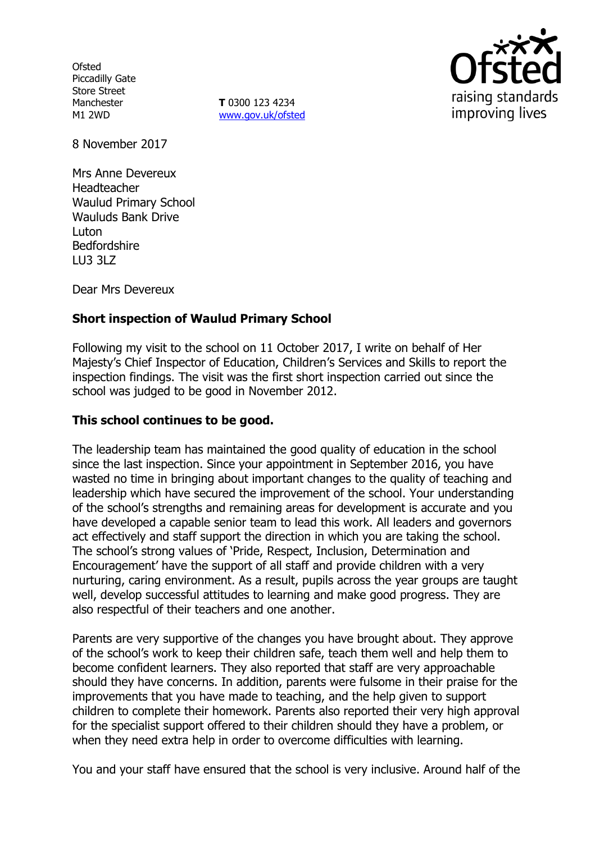**Ofsted** Piccadilly Gate Store Street Manchester M1 2WD

**T** 0300 123 4234 www.gov.uk/ofsted



8 November 2017

Mrs Anne Devereux Headteacher Waulud Primary School Wauluds Bank Drive Luton Bedfordshire LU3 3LZ

Dear Mrs Devereux

# **Short inspection of Waulud Primary School**

Following my visit to the school on 11 October 2017, I write on behalf of Her Majesty's Chief Inspector of Education, Children's Services and Skills to report the inspection findings. The visit was the first short inspection carried out since the school was judged to be good in November 2012.

## **This school continues to be good.**

The leadership team has maintained the good quality of education in the school since the last inspection. Since your appointment in September 2016, you have wasted no time in bringing about important changes to the quality of teaching and leadership which have secured the improvement of the school. Your understanding of the school's strengths and remaining areas for development is accurate and you have developed a capable senior team to lead this work. All leaders and governors act effectively and staff support the direction in which you are taking the school. The school's strong values of 'Pride, Respect, Inclusion, Determination and Encouragement' have the support of all staff and provide children with a very nurturing, caring environment. As a result, pupils across the year groups are taught well, develop successful attitudes to learning and make good progress. They are also respectful of their teachers and one another.

Parents are very supportive of the changes you have brought about. They approve of the school's work to keep their children safe, teach them well and help them to become confident learners. They also reported that staff are very approachable should they have concerns. In addition, parents were fulsome in their praise for the improvements that you have made to teaching, and the help given to support children to complete their homework. Parents also reported their very high approval for the specialist support offered to their children should they have a problem, or when they need extra help in order to overcome difficulties with learning.

You and your staff have ensured that the school is very inclusive. Around half of the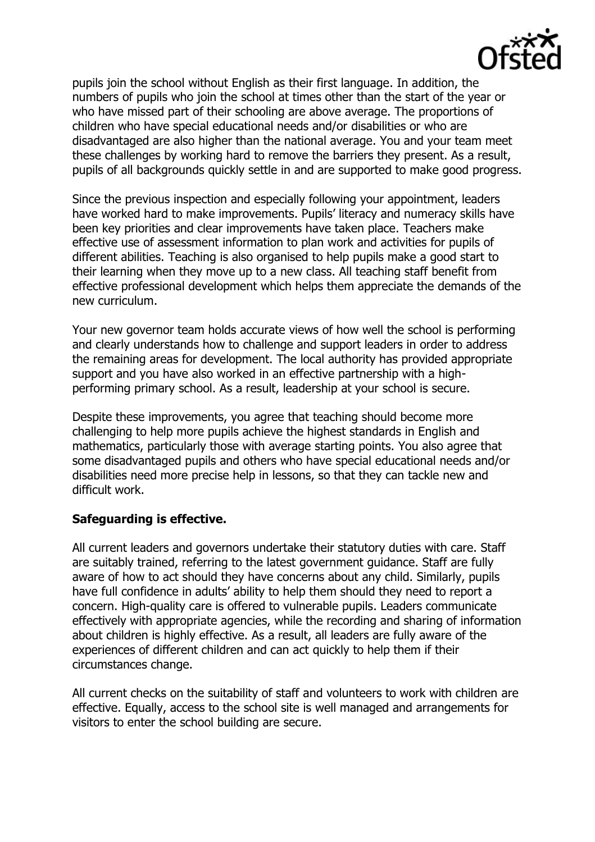

pupils join the school without English as their first language. In addition, the numbers of pupils who join the school at times other than the start of the year or who have missed part of their schooling are above average. The proportions of children who have special educational needs and/or disabilities or who are disadvantaged are also higher than the national average. You and your team meet these challenges by working hard to remove the barriers they present. As a result, pupils of all backgrounds quickly settle in and are supported to make good progress.

Since the previous inspection and especially following your appointment, leaders have worked hard to make improvements. Pupils' literacy and numeracy skills have been key priorities and clear improvements have taken place. Teachers make effective use of assessment information to plan work and activities for pupils of different abilities. Teaching is also organised to help pupils make a good start to their learning when they move up to a new class. All teaching staff benefit from effective professional development which helps them appreciate the demands of the new curriculum.

Your new governor team holds accurate views of how well the school is performing and clearly understands how to challenge and support leaders in order to address the remaining areas for development. The local authority has provided appropriate support and you have also worked in an effective partnership with a highperforming primary school. As a result, leadership at your school is secure.

Despite these improvements, you agree that teaching should become more challenging to help more pupils achieve the highest standards in English and mathematics, particularly those with average starting points. You also agree that some disadvantaged pupils and others who have special educational needs and/or disabilities need more precise help in lessons, so that they can tackle new and difficult work.

#### **Safeguarding is effective.**

All current leaders and governors undertake their statutory duties with care. Staff are suitably trained, referring to the latest government guidance. Staff are fully aware of how to act should they have concerns about any child. Similarly, pupils have full confidence in adults' ability to help them should they need to report a concern. High-quality care is offered to vulnerable pupils. Leaders communicate effectively with appropriate agencies, while the recording and sharing of information about children is highly effective. As a result, all leaders are fully aware of the experiences of different children and can act quickly to help them if their circumstances change.

All current checks on the suitability of staff and volunteers to work with children are effective. Equally, access to the school site is well managed and arrangements for visitors to enter the school building are secure.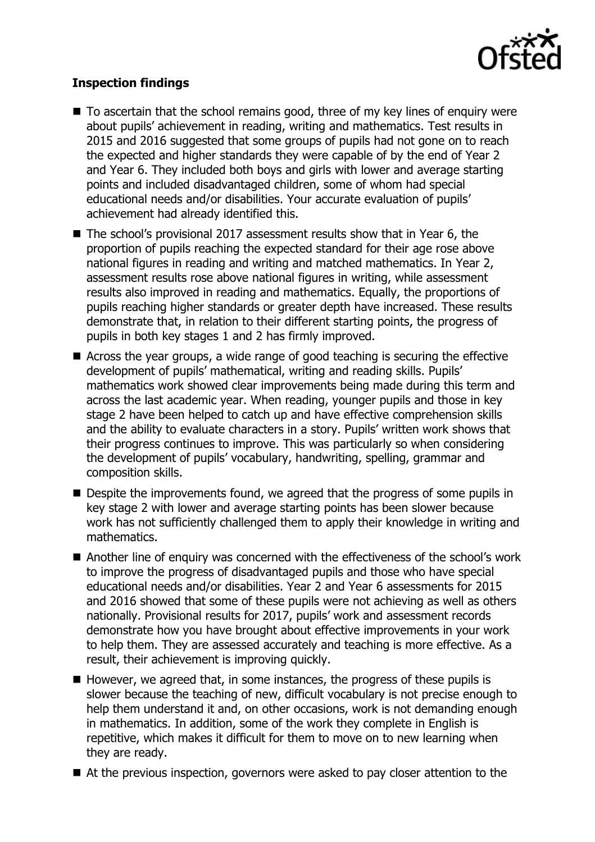

## **Inspection findings**

- To ascertain that the school remains good, three of my key lines of enguiry were about pupils' achievement in reading, writing and mathematics. Test results in 2015 and 2016 suggested that some groups of pupils had not gone on to reach the expected and higher standards they were capable of by the end of Year 2 and Year 6. They included both boys and girls with lower and average starting points and included disadvantaged children, some of whom had special educational needs and/or disabilities. Your accurate evaluation of pupils' achievement had already identified this.
- The school's provisional 2017 assessment results show that in Year 6, the proportion of pupils reaching the expected standard for their age rose above national figures in reading and writing and matched mathematics. In Year 2, assessment results rose above national figures in writing, while assessment results also improved in reading and mathematics. Equally, the proportions of pupils reaching higher standards or greater depth have increased. These results demonstrate that, in relation to their different starting points, the progress of pupils in both key stages 1 and 2 has firmly improved.
- Across the year groups, a wide range of good teaching is securing the effective development of pupils' mathematical, writing and reading skills. Pupils' mathematics work showed clear improvements being made during this term and across the last academic year. When reading, younger pupils and those in key stage 2 have been helped to catch up and have effective comprehension skills and the ability to evaluate characters in a story. Pupils' written work shows that their progress continues to improve. This was particularly so when considering the development of pupils' vocabulary, handwriting, spelling, grammar and composition skills.
- Despite the improvements found, we agreed that the progress of some pupils in key stage 2 with lower and average starting points has been slower because work has not sufficiently challenged them to apply their knowledge in writing and mathematics.
- Another line of enquiry was concerned with the effectiveness of the school's work to improve the progress of disadvantaged pupils and those who have special educational needs and/or disabilities. Year 2 and Year 6 assessments for 2015 and 2016 showed that some of these pupils were not achieving as well as others nationally. Provisional results for 2017, pupils' work and assessment records demonstrate how you have brought about effective improvements in your work to help them. They are assessed accurately and teaching is more effective. As a result, their achievement is improving quickly.
- $\blacksquare$  However, we agreed that, in some instances, the progress of these pupils is slower because the teaching of new, difficult vocabulary is not precise enough to help them understand it and, on other occasions, work is not demanding enough in mathematics. In addition, some of the work they complete in English is repetitive, which makes it difficult for them to move on to new learning when they are ready.
- At the previous inspection, governors were asked to pay closer attention to the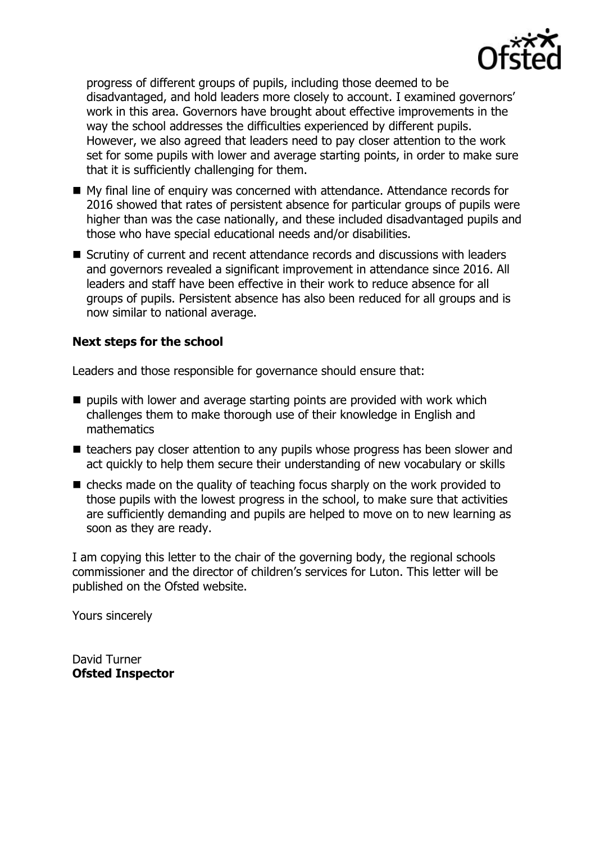

progress of different groups of pupils, including those deemed to be disadvantaged, and hold leaders more closely to account. I examined governors' work in this area. Governors have brought about effective improvements in the way the school addresses the difficulties experienced by different pupils. However, we also agreed that leaders need to pay closer attention to the work set for some pupils with lower and average starting points, in order to make sure that it is sufficiently challenging for them.

- My final line of enquiry was concerned with attendance. Attendance records for 2016 showed that rates of persistent absence for particular groups of pupils were higher than was the case nationally, and these included disadvantaged pupils and those who have special educational needs and/or disabilities.
- Scrutiny of current and recent attendance records and discussions with leaders and governors revealed a significant improvement in attendance since 2016. All leaders and staff have been effective in their work to reduce absence for all groups of pupils. Persistent absence has also been reduced for all groups and is now similar to national average.

## **Next steps for the school**

Leaders and those responsible for governance should ensure that:

- $\blacksquare$  pupils with lower and average starting points are provided with work which challenges them to make thorough use of their knowledge in English and mathematics
- teachers pay closer attention to any pupils whose progress has been slower and act quickly to help them secure their understanding of new vocabulary or skills
- checks made on the quality of teaching focus sharply on the work provided to those pupils with the lowest progress in the school, to make sure that activities are sufficiently demanding and pupils are helped to move on to new learning as soon as they are ready.

I am copying this letter to the chair of the governing body, the regional schools commissioner and the director of children's services for Luton. This letter will be published on the Ofsted website.

Yours sincerely

David Turner **Ofsted Inspector**